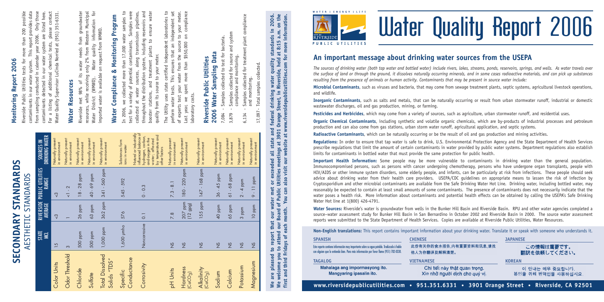



# Water Quality Report 2006

## **An important message about drinking water sources from the USEPA**

The sources of drinking water (both tap water and bottled water) include rivers, lakes, streams, ponds, reservoirs, springs, and wells. As water travels over the surface of land or through the ground, it dissolves naturally occurring minerals, and in some cases radioactive materials, and can pick up substances resulting from the presence of animals or human activity. Contaminants that may be present in source water include:

**Microbial Contaminants**, such as viruses and bacteria, that may come from sewage treatment plants, septic systems, agricultural livestock operations, and wildlife.

**Inorganic Contaminants**, such as salts and metals, that can be naturally occurring or result from urban stormwater runoff, industrial or domestic wastewater discharges, oil and gas production, mining, or farming.

**Pesticides and Herbicides**, which may come from <sup>a</sup> variety of sources, such as agriculture, urban stormwater runoff, and residential uses.

**Organic Chemical Contaminants**, including synthetic and volatile organic chemicals, which are by-products of industrial processes and petroleum production and can also come from gas stations, urban storm water runoff, agricultural application, and septic systems.

**Radioactive Contaminants**, which can be naturally occurring or be the result of oil and gas production and mining activities.

**Regulations:** In order to ensure that tap water is safe to drink, U.S. Environmental Protection Agency and the State Department of Health Services prescribe regulations that limit the amount of certain contaminants in water provided by public water systems. Department regulations also establish limits for contaminants in bottled water that must provide the same protection for public health.

**Important Health Information:** Some people may be more vulnerable to contaminants in drinking water than the general population. Immunocompromised persons, such as persons with cancer undergoing chemotherapy, persons who have undergone organ transplants, people with HIV/AIDS or other immune system disorders, some elderly people, and infants, can be particularly at risk from infections. These people should seek advice about drinking water from their health care providers. USEPA/CDC guidelines on appropriate means to lessen the risk of infection by Cryptosporidium and other microbial contaminants are available from the Safe Drinking Water Hot Line. Drinking water, including bottled water, may reasonably be expected to contain at least small amounts of some contaminants. The presence of contaminants does not necessarily indicate that the water poses <sup>a</sup> health risk. More information about contaminants and potential health effects can be obtained by calling the USEPA's Safe Drinking Water Hot line at 1(800) 426-4791.

**Water Sources:** Riverside's water is groundwater from wells in the Bunker Hill Basin and Riverside Basin. RPU and other water agencies completed <sup>a</sup> source–water assessment study for Bunker Hill Basin in San Bernardino in October 2002 and Riverside Basin in 2000. The source water assessment reports were submitted to the State Department of Health Services. Copies are available at Riverside Public Utilities, Water Resources.

**Non-English translations:** This report contains important information about your drinking water. Translate it or speak with someone who understands it.

| <b>SPANISH</b>                                                                                                                                                                       | <b>CHINESE</b>                                                                             | <b>JAPANESE</b><br>この情報は重要です。<br>翻訳を依頼してください。 |  |
|--------------------------------------------------------------------------------------------------------------------------------------------------------------------------------------|--------------------------------------------------------------------------------------------|-----------------------------------------------|--|
| Este reporte contiene información muy importante sobre su agua potable. Tradúzcalo ó hable<br>con alguien que lo entienda bien. Para más información por favor llame (951) 782-0330. | 此份有关你的食水报告,内有重要资料和讯息,请找<br>他人为你翻译及解释清楚。                                                    |                                               |  |
| <b>TAGALOG</b>                                                                                                                                                                       | <b>KOREAN</b>                                                                              |                                               |  |
| Mahalaga ang impormasyong ito.<br>Mangyaring ipasalin ito.                                                                                                                           | Chi tiết này thật quan trọng.<br>Xin nhờ người dịch cho quý vi.                            | 이 안내는 매우 중요합니다.<br>본인을 위해 번역인을 사용하십시요.        |  |
|                                                                                                                                                                                      | www.riversidepublicutilities.com • 951.351.6331 • 3901 Orange Street • Riverside, CA 92501 |                                               |  |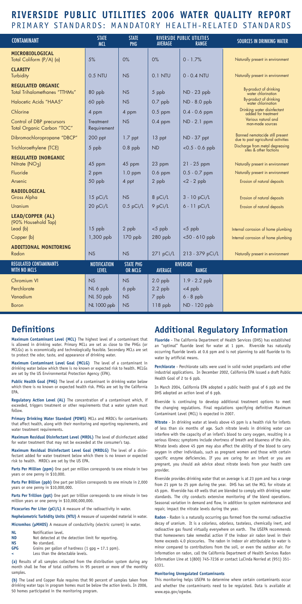## **RIVERSIDE PUBLIC UTILITIES 2006 WATER QUALITY REPORT** PRIMARY STANDARDS: MANDATORY HEALTH-RELATED STANDARDS

| <b>CONTAMINANT</b>                                               | <b>STATE</b><br><b>MCL</b>          | <b>STATE</b><br><b>PHG</b>         | <b>AVERAGE</b>       | <b>RIVERSIDE PUBLIC UTILITIES</b><br>RANGE | <b>SOURCES IN DRINKING WATER</b>                                           |
|------------------------------------------------------------------|-------------------------------------|------------------------------------|----------------------|--------------------------------------------|----------------------------------------------------------------------------|
| MICROBIOLOGICAL<br>Total Coliform (P/A) (a)                      | 5%                                  | 0%                                 | 0%                   | $0 - 1.7%$                                 | Naturally present in environment                                           |
| <b>CLARITY</b><br>Turbidity                                      | 0.5 NTU                             | <b>NS</b>                          | 0.1 NTU              | $0 - 0.4$ NTU                              | Naturally present in environment                                           |
| <b>REGULATED ORGANIC</b><br><b>Total Trihalomethanes "TTHMs"</b> | 80 ppb                              | NS                                 | 5 ppb                | ND - 23 ppb                                | By-product of drinking<br>water chlorination                               |
| Halocetic Acids "HAA5"                                           | 60 ppb                              | NS                                 | $0.7$ ppb            | ND - 8.0 ppb                               | By-product of drinking<br>water chlorination                               |
| Chlorine                                                         | 4 ppm                               | 4 ppm                              | $0.5$ ppm            | $0.4 - 0.6$ ppm                            | Drinking water disinfectant<br>added for treatment                         |
| Control of DBP precursors<br>Total Organic Carbon "TOC"          | Treatment<br>Requirement            | NS                                 | $0.4$ ppm            | $ND - 2.1$ ppm                             | Various natural and<br>man-made sources                                    |
| Dibromochloropropane "DBCP"                                      | $200$ ppt                           | $1.7$ ppt                          | 13 ppt               | ND - 37 ppt                                | Banned nemotacide still present<br>due to past agricultural activities     |
| Trichloroethylene (TCE)                                          | 5 ppb                               | $0.8$ ppb                          | <b>ND</b>            | $< 0.5 - 0.6$ ppb                          | Discharge from metal degreasing<br>sites & other factions                  |
| <b>REGULATED INORGANIC</b><br>Nitrate (NO <sub>3</sub> )         | 45 ppm                              | 45 ppm                             | 23 ppm               | 21 - 25 ppm                                | Naturally present in environment                                           |
| Fluoride                                                         | 2 ppm                               | $1.0$ ppm                          | $0.6$ ppm            | $0.5 - 0.7$ ppm                            | Naturally present in environment                                           |
| Arsenic                                                          | 50 ppb                              | 4 ppt                              | 2 ppb                | $<2$ - 2 ppb                               | Erosion of natural deposits                                                |
| <b>RADIOLOGICAL</b>                                              |                                     |                                    |                      |                                            |                                                                            |
| Gross Alpha                                                      | 15 pCi/L                            | <b>NS</b>                          | 8 pCi/L              | 3 - 10 pCi/L                               | Erosion of natural deposits                                                |
| Uranium                                                          | 20 pCi/L                            | $0.5$ pCi/L                        | 9 pCi/L              | 6 - 11 pCi/L                               | Erosion of natural deposits                                                |
| <b>LEAD/COPPER (AL)</b><br>(90% Household Tap)                   |                                     |                                    |                      |                                            |                                                                            |
| Lead (b)<br>Copper (b)                                           | $15$ ppb<br>1,300 ppb               | 2 ppb<br>170 ppb                   | $<$ 5 ppb<br>280 ppb | $<$ 5 ppb<br>$< 50 - 610$ ppb              | Internal corrosion of home plumbing<br>Internal corrosion of home plumbing |
| <b>ADDITIONAL MONITORING</b>                                     |                                     |                                    |                      |                                            |                                                                            |
| Radon                                                            | NS                                  | NS                                 | 271 pCi/L            | 213 - 379 pCi/L                            | Naturally present in environment                                           |
| <b>REGULATED CONTAMINANTS</b><br><b>WITH NO MCLS</b>             | <b>NOTIFICATION</b><br><b>LEVEL</b> | <b>STATE PHG</b><br><b>OR MCLG</b> | <b>AVERAGE</b>       | <b>RIVERSIDE</b><br><b>RANGE</b>           |                                                                            |
| Chromium VI                                                      | NS                                  | <b>NS</b>                          | $2.0$ ppb            | $1.9 - 2.2$ ppb                            |                                                                            |
| Perchlorate                                                      | NL 6 ppb                            | 6 ppb                              | $2.2$ ppb            | $<$ 4 ppb                                  |                                                                            |
| Vanadium                                                         | NL 50 ppb                           | <b>NS</b>                          | 7 ppb                | $6 - 8$ ppb                                |                                                                            |
| Boron                                                            | <b>NL 1000 ppb</b>                  | NS                                 | 118 ppb              | ND - 120 ppb                               |                                                                            |

## **Definitions**

**Maximum Contaminant Level (MCL)** The highest level of a contaminant that is allowed in drinking water. Primary MCLs are set as close to the PHGs (or MCLGs) as is economically and technologically feasible. Secondary MCLs are set to protect the odor, taste, and appearance of drinking water.

**Maximum Contaminant Level Goal (MCLG)** The level of a contaminant in drinking water below which there is no known or expected risk to health. MCLGs are set by the US Environmental Protection Agency (EPA).

**Public Health Goal (PHG)** The level of a contaminant in drinking water below which there is no known or expected health risk. PHGs are set by the California EPA.

**Regulatory Action Level (AL)** The concentration of a contaminant which, if exceeded, triggers treatment or other requirements that a water system must follow.

**Primary Drinking Water Standard (PDWS)** MCLs and MRDL's for contaminants that affect health, along with their monitoring and reporting requirements, and water treatment requirements.

**Maximum Residual Disinfectant Level (MRDL)** The level of disinfectant added for water treatment that may not be exceeded at the consumer's tap.

**Maximum Residual Disinfectant Level Goal (MRDLG)** The level of a disinfectant added for water treatment below which there is no known or expected risk to health. MRDL's are set by the US EPA.

**Parts Per Million (ppm)** One part per million corresponds to one minute in two years or one penny in \$10,000.

**Parts Per Billion (ppb)** One part per billion corresponds to one minute in 2,000 years or one penny in \$10,000,000.

**Parts Per Trillion (ppt)** One part per trillion corresponds to one minute in two million years or one penny in \$10,000,000,000.

Picocuries Per Liter (pCi/L) A measure of the radioactivity in water.

**Nephelometric Turbidity Units (NTU)** A measure of suspended material in water. **Micromhos (µMHOS)** A measure of conductivity (electric current) in water.

- **NL** Notification level.<br> **ND** Not detected at the
- Not detected at the detection limit for reporting. **NS** No standard.
- GPG Grains per gallon of hardness (1 gpg = 17.1 ppm).
- Less than the detectable levels.

**(a)** Results of all samples collected from the distribution system during any month shall be free of total coliforms in 95 percent or more of the monthly samples.

**(b)** The Lead and Copper Rule requires that 90 percent of samples taken from drinking water taps in program homes must be below the action levels. In 2006, 50 homes participated in the monitoring program.

## **Additional Regulatory Information**

**Fluoride** - The California Department of Health Services (DHS) has established an "optimal" fluoride level for water at 1 ppm. Riverside has naturally occurring fluoride levels at 0.6 ppm and is not planning to add fluoride to its water by artificial means

**Perchlorate** - Perchlorate salts were used in solid rocket propellants and other industrial applications. In December 2002, California EPA issued a draft Public Health Goal of 2 to 6 ppb.

In March 2004, California EPA adopted a public health goal of 6 ppb and the DHS adopted an action level of 6 ppb.

Riverside is continuing to develop additional treatment options to meet the changing regulations. Final regulations specifying definitive Maximum Contaminant Level (MCL) is expected in 2007.

**Nitrate** - In drinking water at levels above 45 ppm is a health risk for infants of less than six months of age. Such nitrate levels in drinking water can interfere with the capacity of an infant's blood to carry oxygen, resulting in a serious illness; symptoms include shortness of breath and blueness of the skin. Nitrate levels above 45 ppm may also affect the ability of the blood to carry oxygen in other individuals, such as pregnant women and those with certain specific enzyme deficiencies. If you are caring for an infant or you are pregnant, you should ask advice about nitrate levels from your health care provider.

Riverside provides drinking water that on average is at 23 ppm and has a range from 21 ppm to 25 ppm during the year. DHS has set the MCL for nitrate at 45 ppm. Riverside has 49 wells that are blended to comply with drinking water standards. The city conducts extensive monitoring of the blend operations. Seasonal variation in demand and flow, in addition to system maintenance and repair, impact the nitrate levels during the year.

**Radon** - Radon is a naturally occurring gas formed from the normal radioactive decay of uranium. It is a colorless, odorless, tasteless, chemically inert, and radioactive gas found virtually everywhere on earth. The USEPA recommends that homeowners take remedial action if the indoor air radon level in their home exceeds 4.0 picocuries. The radon in indoor air attributable to water is minor compared to contributions from the soil, or even the outdoor air. For information on radon, call the California Department of Health Services Radon Information Line at 1(800) 745-7236 or contact LuCinda Norried at (951) 351- 6331.

#### **Monitoring Unregulated Contaminants**

This monitoring helps USEPA to determine where certain contaminants occur and whether the contaminants need to be regulated. Data is available at www.epa.gov/ogwdw.